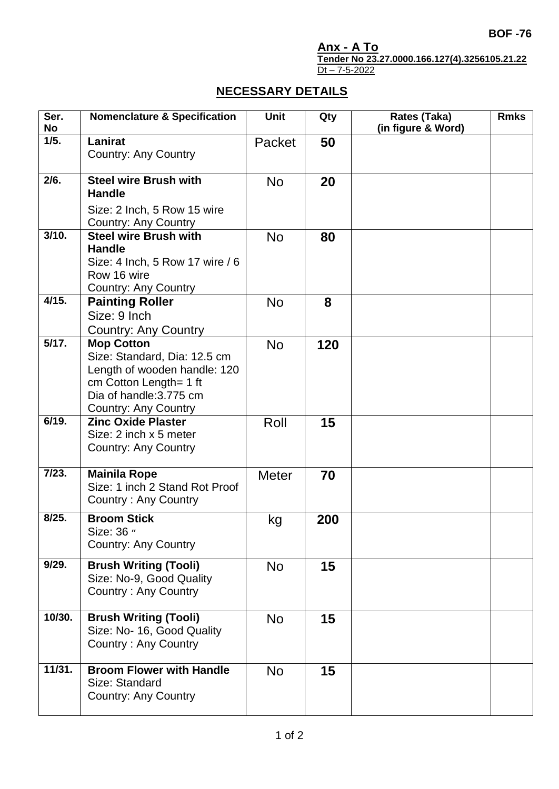**Anx - A To Tender No 23.27.0000.166.127(4).3256105.21.22** Dt – 7-5-2022

## **NECESSARY DETAILS**

| Ser.<br><b>No</b> | <b>Nomenclature &amp; Specification</b>                                                                                                                               | <b>Unit</b>  | Qty | <b>Rates (Taka)</b><br>(in figure & Word) | <b>Rmks</b> |
|-------------------|-----------------------------------------------------------------------------------------------------------------------------------------------------------------------|--------------|-----|-------------------------------------------|-------------|
| 1/5.              | <b>Lanirat</b><br><b>Country: Any Country</b>                                                                                                                         | Packet       | 50  |                                           |             |
| 2/6.              | <b>Steel wire Brush with</b><br><b>Handle</b><br>Size: 2 Inch, 5 Row 15 wire<br><b>Country: Any Country</b>                                                           | <b>No</b>    | 20  |                                           |             |
| 3/10.             | <b>Steel wire Brush with</b><br><b>Handle</b><br>Size: 4 Inch, 5 Row 17 wire / 6<br>Row 16 wire<br><b>Country: Any Country</b>                                        | <b>No</b>    | 80  |                                           |             |
| 4/15.             | <b>Painting Roller</b><br>Size: 9 Inch<br><b>Country: Any Country</b>                                                                                                 | <b>No</b>    | 8   |                                           |             |
| 5/17.             | <b>Mop Cotton</b><br>Size: Standard, Dia: 12.5 cm<br>Length of wooden handle: 120<br>cm Cotton Length= 1 ft<br>Dia of handle: 3.775 cm<br><b>Country: Any Country</b> | <b>No</b>    | 120 |                                           |             |
| 6/19.             | <b>Zinc Oxide Plaster</b><br>Size: 2 inch x 5 meter<br><b>Country: Any Country</b>                                                                                    | Roll         | 15  |                                           |             |
| 7/23.             | <b>Mainila Rope</b><br>Size: 1 inch 2 Stand Rot Proof<br><b>Country: Any Country</b>                                                                                  | <b>Meter</b> | 70  |                                           |             |
| 8/25.             | <b>Broom Stick</b><br>Size: 36 "<br><b>Country: Any Country</b>                                                                                                       | kg           | 200 |                                           |             |
| 9/29.             | <b>Brush Writing (Tooli)</b><br>Size: No-9, Good Quality<br><b>Country: Any Country</b>                                                                               | No           | 15  |                                           |             |
| 10/30.            | <b>Brush Writing (Tooli)</b><br>Size: No- 16, Good Quality<br><b>Country: Any Country</b>                                                                             | <b>No</b>    | 15  |                                           |             |
| 11/31.            | <b>Broom Flower with Handle</b><br>Size: Standard<br><b>Country: Any Country</b>                                                                                      | <b>No</b>    | 15  |                                           |             |